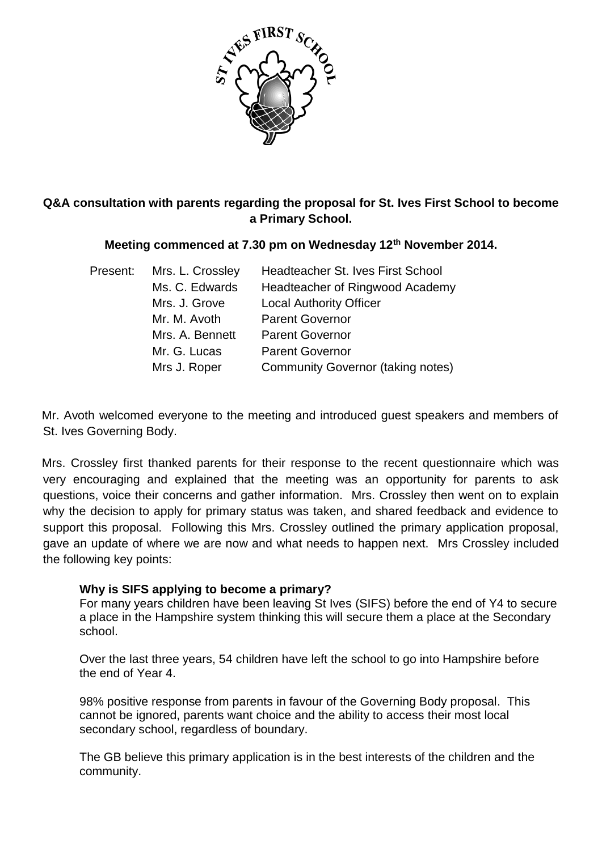

# **Q&A consultation with parents regarding the proposal for St. Ives First School to become a Primary School.**

### **Meeting commenced at 7.30 pm on Wednesday 12th November 2014.**

| Present: | Mrs. L. Crossley | Headteacher St. Ives First School        |
|----------|------------------|------------------------------------------|
|          | Ms. C. Edwards   | Headteacher of Ringwood Academy          |
|          | Mrs. J. Grove    | <b>Local Authority Officer</b>           |
|          | Mr. M. Avoth     | <b>Parent Governor</b>                   |
|          | Mrs. A. Bennett  | <b>Parent Governor</b>                   |
|          | Mr. G. Lucas     | <b>Parent Governor</b>                   |
|          | Mrs J. Roper     | <b>Community Governor (taking notes)</b> |

Mr. Avoth welcomed everyone to the meeting and introduced guest speakers and members of St. Ives Governing Body.

Mrs. Crossley first thanked parents for their response to the recent questionnaire which was very encouraging and explained that the meeting was an opportunity for parents to ask questions, voice their concerns and gather information. Mrs. Crossley then went on to explain why the decision to apply for primary status was taken, and shared feedback and evidence to support this proposal. Following this Mrs. Crossley outlined the primary application proposal, gave an update of where we are now and what needs to happen next. Mrs Crossley included the following key points:

## **Why is SIFS applying to become a primary?**

For many years children have been leaving St Ives (SIFS) before the end of Y4 to secure a place in the Hampshire system thinking this will secure them a place at the Secondary school.

Over the last three years, 54 children have left the school to go into Hampshire before the end of Year 4.

98% positive response from parents in favour of the Governing Body proposal. This cannot be ignored, parents want choice and the ability to access their most local secondary school, regardless of boundary.

The GB believe this primary application is in the best interests of the children and the community.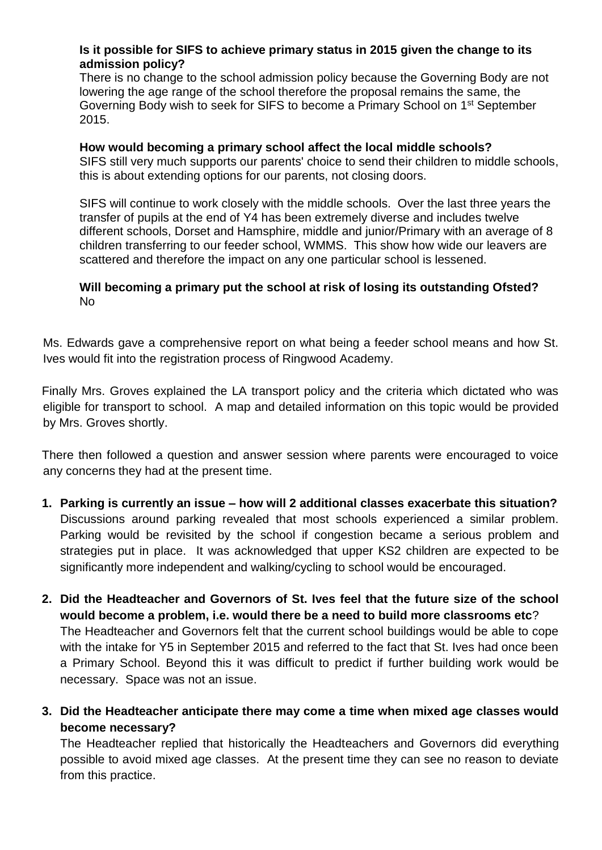### **Is it possible for SIFS to achieve primary status in 2015 given the change to its admission policy?**

There is no change to the school admission policy because the Governing Body are not lowering the age range of the school therefore the proposal remains the same, the Governing Body wish to seek for SIFS to become a Primary School on 1st September 2015.

#### **How would becoming a primary school affect the local middle schools?**

SIFS still very much supports our parents' choice to send their children to middle schools, this is about extending options for our parents, not closing doors.

SIFS will continue to work closely with the middle schools. Over the last three years the transfer of pupils at the end of Y4 has been extremely diverse and includes twelve different schools, Dorset and Hamsphire, middle and junior/Primary with an average of 8 children transferring to our feeder school, WMMS. This show how wide our leavers are scattered and therefore the impact on any one particular school is lessened.

## **Will becoming a primary put the school at risk of losing its outstanding Ofsted?** No

Ms. Edwards gave a comprehensive report on what being a feeder school means and how St. Ives would fit into the registration process of Ringwood Academy.

Finally Mrs. Groves explained the LA transport policy and the criteria which dictated who was eligible for transport to school. A map and detailed information on this topic would be provided by Mrs. Groves shortly.

There then followed a question and answer session where parents were encouraged to voice any concerns they had at the present time.

- **1. Parking is currently an issue – how will 2 additional classes exacerbate this situation?** Discussions around parking revealed that most schools experienced a similar problem. Parking would be revisited by the school if congestion became a serious problem and strategies put in place. It was acknowledged that upper KS2 children are expected to be significantly more independent and walking/cycling to school would be encouraged.
- **2. Did the Headteacher and Governors of St. Ives feel that the future size of the school would become a problem, i.e. would there be a need to build more classrooms etc**? The Headteacher and Governors felt that the current school buildings would be able to cope with the intake for Y5 in September 2015 and referred to the fact that St. Ives had once been a Primary School. Beyond this it was difficult to predict if further building work would be necessary. Space was not an issue.
- **3. Did the Headteacher anticipate there may come a time when mixed age classes would become necessary?**

The Headteacher replied that historically the Headteachers and Governors did everything possible to avoid mixed age classes. At the present time they can see no reason to deviate from this practice.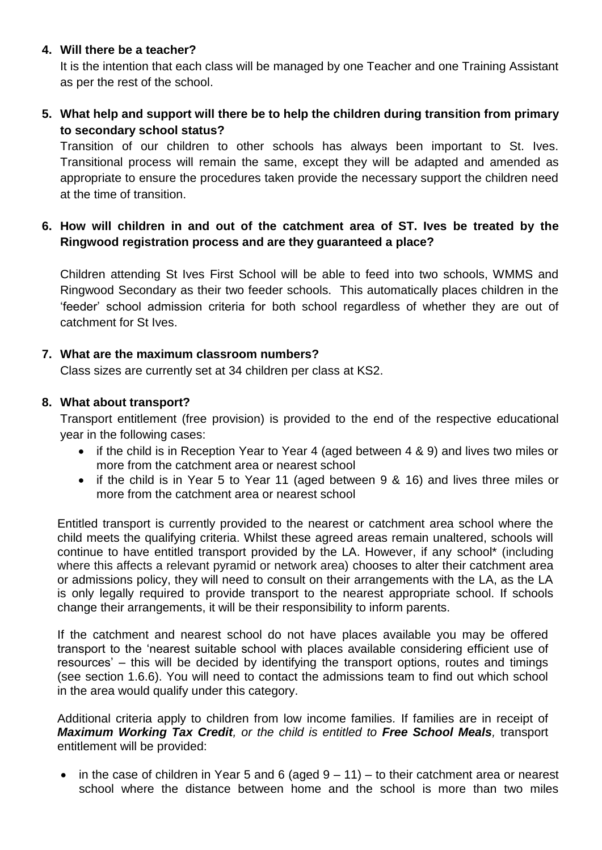## **4. Will there be a teacher?**

It is the intention that each class will be managed by one Teacher and one Training Assistant as per the rest of the school.

# **5. What help and support will there be to help the children during transition from primary to secondary school status?**

Transition of our children to other schools has always been important to St. Ives. Transitional process will remain the same, except they will be adapted and amended as appropriate to ensure the procedures taken provide the necessary support the children need at the time of transition.

# **6. How will children in and out of the catchment area of ST. Ives be treated by the Ringwood registration process and are they guaranteed a place?**

Children attending St Ives First School will be able to feed into two schools, WMMS and Ringwood Secondary as their two feeder schools. This automatically places children in the 'feeder' school admission criteria for both school regardless of whether they are out of catchment for St Ives.

### **7. What are the maximum classroom numbers?**

Class sizes are currently set at 34 children per class at KS2.

### **8. What about transport?**

Transport entitlement (free provision) is provided to the end of the respective educational year in the following cases:

- if the child is in Reception Year to Year 4 (aged between 4 & 9) and lives two miles or more from the catchment area or nearest school
- if the child is in Year 5 to Year 11 (aged between 9 & 16) and lives three miles or more from the catchment area or nearest school

Entitled transport is currently provided to the nearest or catchment area school where the child meets the qualifying criteria. Whilst these agreed areas remain unaltered, schools will continue to have entitled transport provided by the LA. However, if any school\* (including where this affects a relevant pyramid or network area) chooses to alter their catchment area or admissions policy, they will need to consult on their arrangements with the LA, as the LA is only legally required to provide transport to the nearest appropriate school. If schools change their arrangements, it will be their responsibility to inform parents.

If the catchment and nearest school do not have places available you may be offered transport to the 'nearest suitable school with places available considering efficient use of resources' – this will be decided by identifying the transport options, routes and timings (see section 1.6.6). You will need to contact the admissions team to find out which school in the area would qualify under this category.

Additional criteria apply to children from low income families*.* If families are in receipt of *Maximum Working Tax Credit, or the child is entitled to Free School Meals,* transport entitlement will be provided:

• in the case of children in Year 5 and 6 (aged  $9 - 11$ ) – to their catchment area or nearest school where the distance between home and the school is more than two miles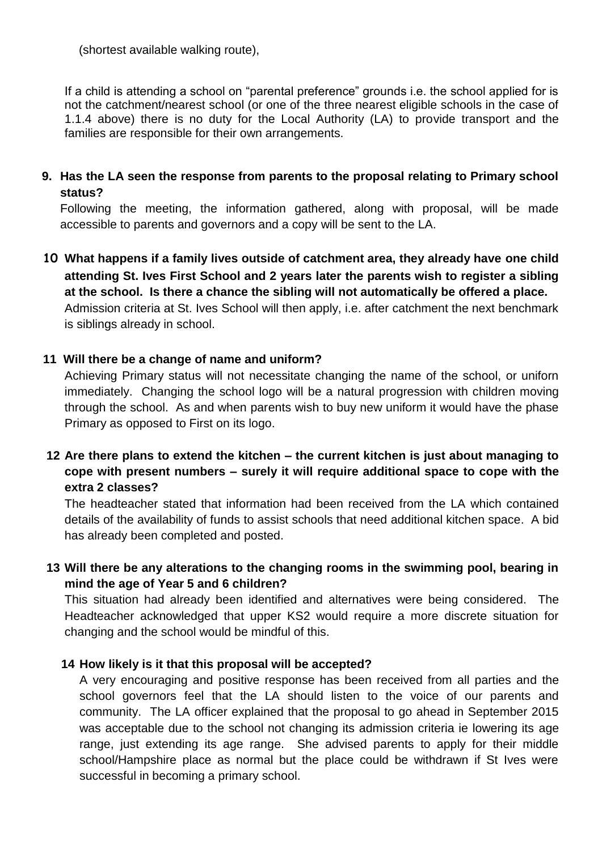(shortest available walking route),

If a child is attending a school on "parental preference" grounds i.e. the school applied for is not the catchment/nearest school (or one of the three nearest eligible schools in the case of 1.1.4 above) there is no duty for the Local Authority (LA) to provide transport and the families are responsible for their own arrangements.

**9. Has the LA seen the response from parents to the proposal relating to Primary school status?**

Following the meeting, the information gathered, along with proposal, will be made accessible to parents and governors and a copy will be sent to the LA.

**10 What happens if a family lives outside of catchment area, they already have one child attending St. Ives First School and 2 years later the parents wish to register a sibling at the school. Is there a chance the sibling will not automatically be offered a place.** Admission criteria at St. Ives School will then apply, i.e. after catchment the next benchmark is siblings already in school.

### **11 Will there be a change of name and uniform?**

Achieving Primary status will not necessitate changing the name of the school, or uniforn immediately. Changing the school logo will be a natural progression with children moving through the school. As and when parents wish to buy new uniform it would have the phase Primary as opposed to First on its logo.

# **12 Are there plans to extend the kitchen – the current kitchen is just about managing to cope with present numbers – surely it will require additional space to cope with the extra 2 classes?**

The headteacher stated that information had been received from the LA which contained details of the availability of funds to assist schools that need additional kitchen space. A bid has already been completed and posted.

**13 Will there be any alterations to the changing rooms in the swimming pool, bearing in mind the age of Year 5 and 6 children?**

This situation had already been identified and alternatives were being considered. The Headteacher acknowledged that upper KS2 would require a more discrete situation for changing and the school would be mindful of this.

#### **14 How likely is it that this proposal will be accepted?**

A very encouraging and positive response has been received from all parties and the school governors feel that the LA should listen to the voice of our parents and community. The LA officer explained that the proposal to go ahead in September 2015 was acceptable due to the school not changing its admission criteria ie lowering its age range, just extending its age range. She advised parents to apply for their middle school/Hampshire place as normal but the place could be withdrawn if St Ives were successful in becoming a primary school.